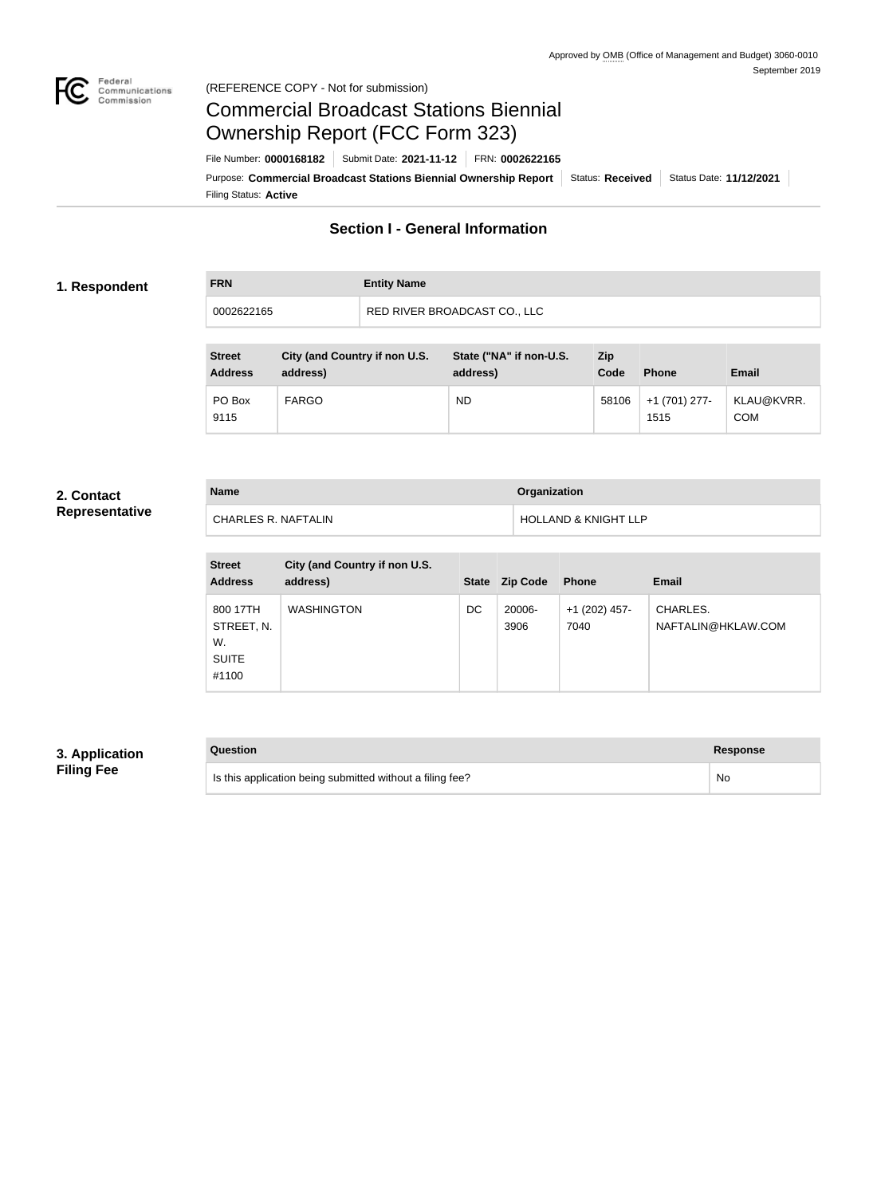

#### Federal<br>Communications<br>Commission (REFERENCE COPY - Not for submission)

# Commercial Broadcast Stations Biennial Ownership Report (FCC Form 323)

Filing Status: **Active** Purpose: Commercial Broadcast Stations Biennial Ownership Report Status: Received Status Date: 11/12/2021 File Number: **0000168182** Submit Date: **2021-11-12** FRN: **0002622165**

# **Section I - General Information**

#### **1. Respondent**

| <b>FRN</b> | <b>Entity Name</b>           |
|------------|------------------------------|
| 0002622165 | RED RIVER BROADCAST CO., LLC |

| <b>Street</b><br><b>Address</b> | City (and Country if non U.S.<br>address) | State ("NA" if non-U.S.<br>address) | Zip<br>Code | <b>Phone</b>          | <b>Email</b>             |
|---------------------------------|-------------------------------------------|-------------------------------------|-------------|-----------------------|--------------------------|
| PO Box<br>9115                  | <b>FARGO</b>                              | <b>ND</b>                           | 58106       | +1 (701) 277-<br>1515 | KLAU@KVRR.<br><b>COM</b> |

#### **2. Contact Representative**

| <b>Name</b>         | <b>Organization</b>             |
|---------------------|---------------------------------|
| CHARLES R. NAFTALIN | <b>HOLLAND &amp; KNIGHT LLP</b> |

| <b>Street</b><br><b>Address</b>                       | City (and Country if non U.S.<br>address) | <b>State</b> | <b>Zip Code</b> | <b>Phone</b>          | <b>Email</b>                   |
|-------------------------------------------------------|-------------------------------------------|--------------|-----------------|-----------------------|--------------------------------|
| 800 17TH<br>STREET, N.<br>W.<br><b>SUITE</b><br>#1100 | <b>WASHINGTON</b>                         | DC           | 20006-<br>3906  | +1 (202) 457-<br>7040 | CHARLES.<br>NAFTALIN@HKLAW.COM |

# **3. Application Filing Fee**

| Question                                                  | Response |
|-----------------------------------------------------------|----------|
| Is this application being submitted without a filing fee? | No       |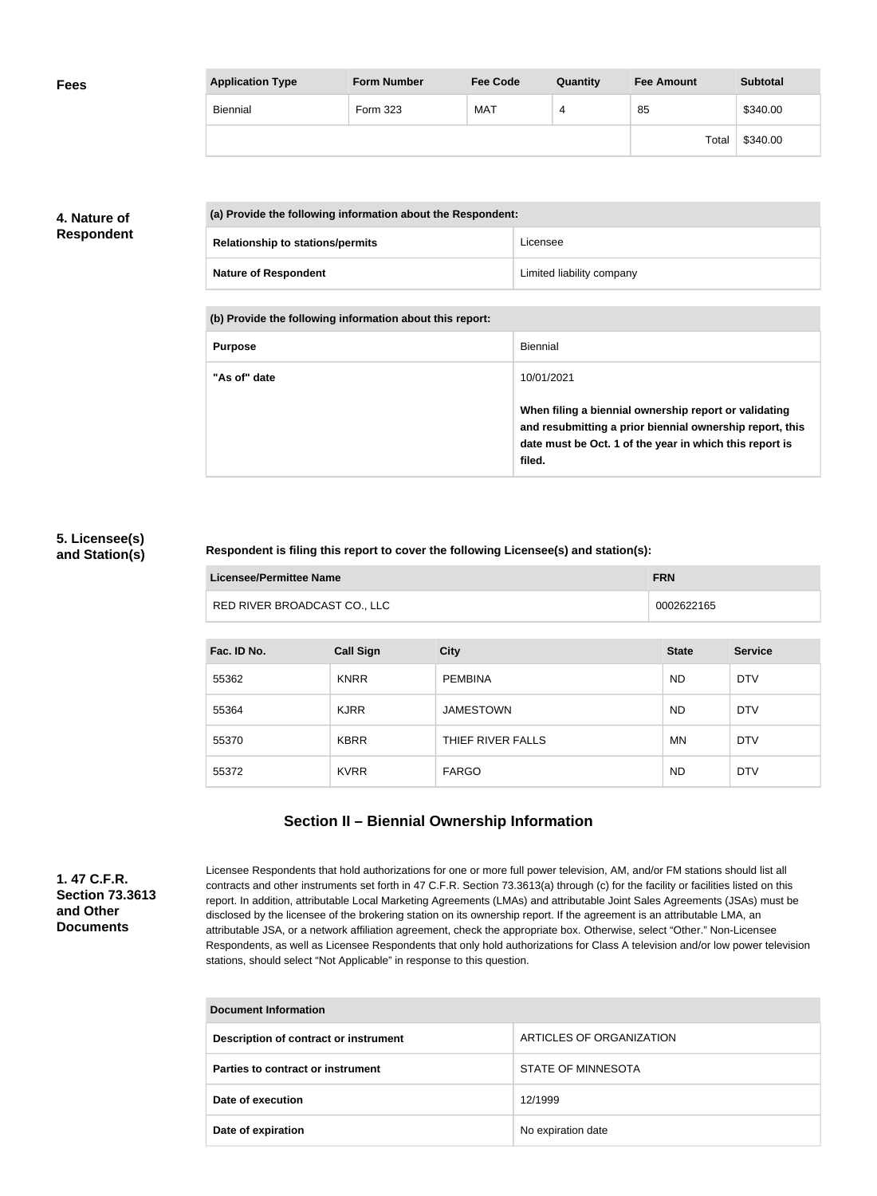| <b>Fees</b> | <b>Application Type</b> | <b>Form Number</b> | <b>Fee Code</b> | Quantity | <b>Fee Amount</b> | <b>Subtotal</b> |
|-------------|-------------------------|--------------------|-----------------|----------|-------------------|-----------------|
|             | Biennial                | Form 323           | <b>MAT</b>      | 4        | 85                | \$340.00        |
|             |                         |                    |                 |          | Total             | \$340.00        |

# **4. Nature of Respondent**

| (a) Provide the following information about the Respondent: |                           |  |  |
|-------------------------------------------------------------|---------------------------|--|--|
| <b>Relationship to stations/permits</b>                     | Licensee                  |  |  |
| <b>Nature of Respondent</b>                                 | Limited liability company |  |  |

**(b) Provide the following information about this report:**

| <b>Purpose</b> | Biennial                                                                                                                                                                               |
|----------------|----------------------------------------------------------------------------------------------------------------------------------------------------------------------------------------|
| "As of" date   | 10/01/2021                                                                                                                                                                             |
|                | When filing a biennial ownership report or validating<br>and resubmitting a prior biennial ownership report, this<br>date must be Oct. 1 of the year in which this report is<br>filed. |

#### **5. Licensee(s) and Station(s)**

#### **Respondent is filing this report to cover the following Licensee(s) and station(s):**

| Licensee/Permittee Name      | <b>FRN</b> |
|------------------------------|------------|
| RED RIVER BROADCAST CO., LLC | 0002622165 |

| Fac. ID No. | <b>Call Sign</b> | <b>City</b>       | <b>State</b> | <b>Service</b> |
|-------------|------------------|-------------------|--------------|----------------|
| 55362       | <b>KNRR</b>      | <b>PEMBINA</b>    | <b>ND</b>    | <b>DTV</b>     |
| 55364       | <b>KJRR</b>      | <b>JAMESTOWN</b>  | <b>ND</b>    | <b>DTV</b>     |
| 55370       | <b>KBRR</b>      | THIEF RIVER FALLS | <b>MN</b>    | <b>DTV</b>     |
| 55372       | <b>KVRR</b>      | <b>FARGO</b>      | <b>ND</b>    | <b>DTV</b>     |

# **Section II – Biennial Ownership Information**

**1. 47 C.F.R. Section 73.3613 and Other Documents**

Licensee Respondents that hold authorizations for one or more full power television, AM, and/or FM stations should list all contracts and other instruments set forth in 47 C.F.R. Section 73.3613(a) through (c) for the facility or facilities listed on this report. In addition, attributable Local Marketing Agreements (LMAs) and attributable Joint Sales Agreements (JSAs) must be disclosed by the licensee of the brokering station on its ownership report. If the agreement is an attributable LMA, an attributable JSA, or a network affiliation agreement, check the appropriate box. Otherwise, select "Other." Non-Licensee Respondents, as well as Licensee Respondents that only hold authorizations for Class A television and/or low power television stations, should select "Not Applicable" in response to this question.

| <b>Document Information</b>           |                          |  |
|---------------------------------------|--------------------------|--|
| Description of contract or instrument | ARTICLES OF ORGANIZATION |  |
| Parties to contract or instrument     | STATE OF MINNESOTA       |  |
| Date of execution                     | 12/1999                  |  |
| Date of expiration                    | No expiration date       |  |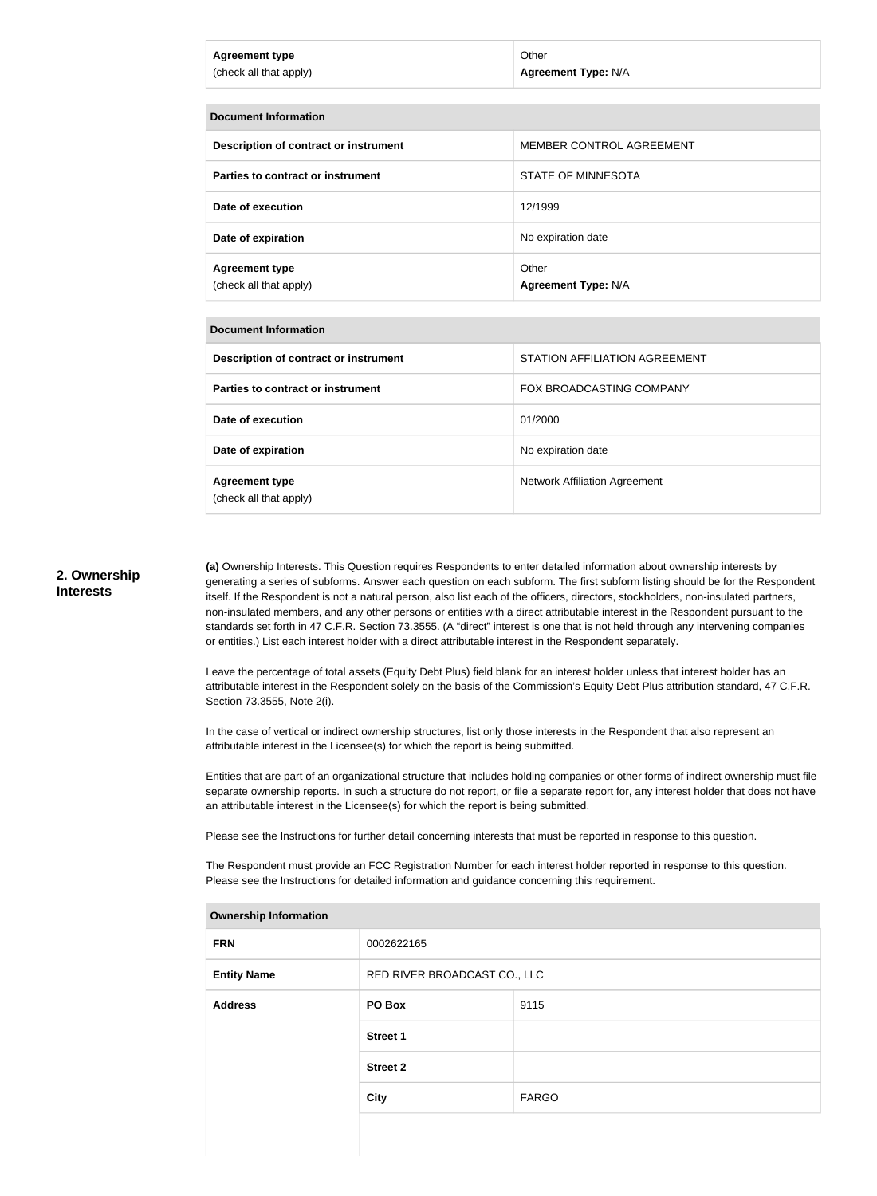| Agreement type         | Other               |
|------------------------|---------------------|
| (check all that apply) | Agreement Type: N/A |
|                        |                     |

| <b>Document Information</b>                     |                                     |  |  |
|-------------------------------------------------|-------------------------------------|--|--|
| Description of contract or instrument           | MEMBER CONTROL AGREEMENT            |  |  |
| Parties to contract or instrument               | STATE OF MINNESOTA                  |  |  |
| Date of execution                               | 12/1999                             |  |  |
| Date of expiration                              | No expiration date                  |  |  |
| <b>Agreement type</b><br>(check all that apply) | Other<br><b>Agreement Type: N/A</b> |  |  |

#### **Document Information**

| Description of contract or instrument           | STATION AFFILIATION AGREEMENT        |  |  |
|-------------------------------------------------|--------------------------------------|--|--|
| Parties to contract or instrument               | FOX BROADCASTING COMPANY             |  |  |
| Date of execution                               | 01/2000                              |  |  |
| Date of expiration                              | No expiration date                   |  |  |
| <b>Agreement type</b><br>(check all that apply) | <b>Network Affiliation Agreement</b> |  |  |

#### **2. Ownership Interests**

**(a)** Ownership Interests. This Question requires Respondents to enter detailed information about ownership interests by generating a series of subforms. Answer each question on each subform. The first subform listing should be for the Respondent itself. If the Respondent is not a natural person, also list each of the officers, directors, stockholders, non-insulated partners, non-insulated members, and any other persons or entities with a direct attributable interest in the Respondent pursuant to the standards set forth in 47 C.F.R. Section 73.3555. (A "direct" interest is one that is not held through any intervening companies or entities.) List each interest holder with a direct attributable interest in the Respondent separately.

Leave the percentage of total assets (Equity Debt Plus) field blank for an interest holder unless that interest holder has an attributable interest in the Respondent solely on the basis of the Commission's Equity Debt Plus attribution standard, 47 C.F.R. Section 73.3555, Note 2(i).

In the case of vertical or indirect ownership structures, list only those interests in the Respondent that also represent an attributable interest in the Licensee(s) for which the report is being submitted.

Entities that are part of an organizational structure that includes holding companies or other forms of indirect ownership must file separate ownership reports. In such a structure do not report, or file a separate report for, any interest holder that does not have an attributable interest in the Licensee(s) for which the report is being submitted.

Please see the Instructions for further detail concerning interests that must be reported in response to this question.

The Respondent must provide an FCC Registration Number for each interest holder reported in response to this question. Please see the Instructions for detailed information and guidance concerning this requirement.

| <b>FRN</b>         | 0002622165                   |              |
|--------------------|------------------------------|--------------|
| <b>Entity Name</b> | RED RIVER BROADCAST CO., LLC |              |
| <b>Address</b>     | PO Box                       | 9115         |
|                    | <b>Street 1</b>              |              |
|                    | <b>Street 2</b>              |              |
|                    | <b>City</b>                  | <b>FARGO</b> |
|                    |                              |              |

#### **Ownership Information**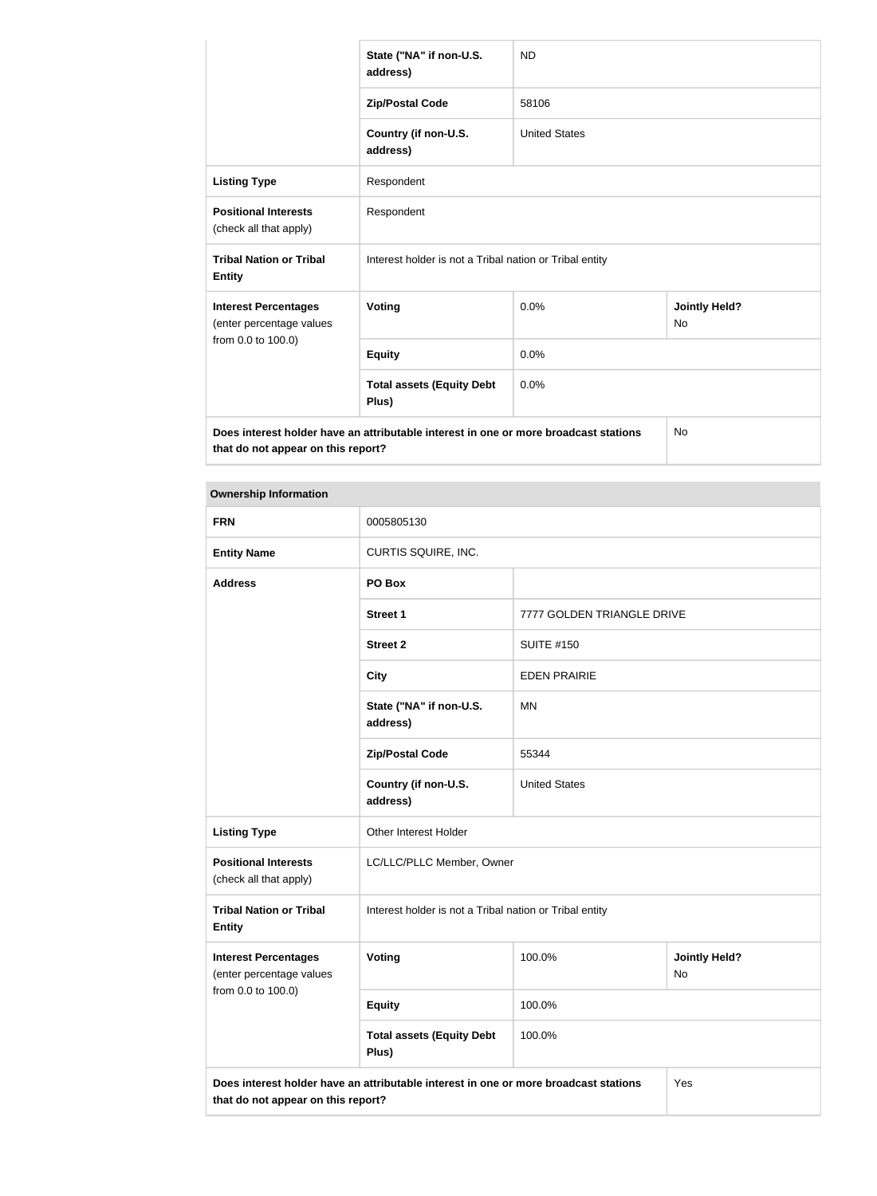|                                                                                                   | State ("NA" if non-U.S.<br>address)                     | <b>ND</b>            |                                   |
|---------------------------------------------------------------------------------------------------|---------------------------------------------------------|----------------------|-----------------------------------|
|                                                                                                   | <b>Zip/Postal Code</b>                                  | 58106                |                                   |
|                                                                                                   | Country (if non-U.S.<br>address)                        | <b>United States</b> |                                   |
| <b>Listing Type</b>                                                                               | Respondent                                              |                      |                                   |
| <b>Positional Interests</b><br>(check all that apply)                                             | Respondent                                              |                      |                                   |
| <b>Tribal Nation or Tribal</b><br><b>Entity</b>                                                   | Interest holder is not a Tribal nation or Tribal entity |                      |                                   |
| <b>Interest Percentages</b><br>(enter percentage values                                           | <b>Voting</b>                                           | 0.0%                 | <b>Jointly Held?</b><br><b>No</b> |
| from 0.0 to 100.0)                                                                                | <b>Equity</b>                                           | 0.0%                 |                                   |
|                                                                                                   | <b>Total assets (Equity Debt</b><br>Plus)               | 0.0%                 |                                   |
| Does interest holder have an attributable interest in one or more broadcast stations<br><b>No</b> |                                                         |                      |                                   |

**that do not appear on this report?**

# **Ownership Information**

| <b>FRN</b>                                                                                                                        | 0005805130                                              |                            |                            |
|-----------------------------------------------------------------------------------------------------------------------------------|---------------------------------------------------------|----------------------------|----------------------------|
| <b>Entity Name</b>                                                                                                                | CURTIS SQUIRE, INC.                                     |                            |                            |
| <b>Address</b>                                                                                                                    | PO Box                                                  |                            |                            |
|                                                                                                                                   | <b>Street 1</b>                                         | 7777 GOLDEN TRIANGLE DRIVE |                            |
|                                                                                                                                   | <b>Street 2</b>                                         | <b>SUITE #150</b>          |                            |
|                                                                                                                                   | <b>City</b>                                             | <b>EDEN PRAIRIE</b>        |                            |
|                                                                                                                                   | State ("NA" if non-U.S.<br>address)                     | <b>MN</b>                  |                            |
|                                                                                                                                   | <b>Zip/Postal Code</b>                                  | 55344                      |                            |
|                                                                                                                                   | Country (if non-U.S.<br>address)                        | <b>United States</b>       |                            |
| <b>Listing Type</b>                                                                                                               | Other Interest Holder                                   |                            |                            |
| <b>Positional Interests</b><br>(check all that apply)                                                                             | LC/LLC/PLLC Member, Owner                               |                            |                            |
| <b>Tribal Nation or Tribal</b><br><b>Entity</b>                                                                                   | Interest holder is not a Tribal nation or Tribal entity |                            |                            |
| <b>Interest Percentages</b><br>(enter percentage values                                                                           | Voting                                                  | 100.0%                     | <b>Jointly Held?</b><br>No |
| from 0.0 to 100.0)                                                                                                                | <b>Equity</b>                                           | 100.0%                     |                            |
|                                                                                                                                   | <b>Total assets (Equity Debt</b><br>Plus)               | 100.0%                     |                            |
| Does interest holder have an attributable interest in one or more broadcast stations<br>Yes<br>that do not appear on this report? |                                                         |                            |                            |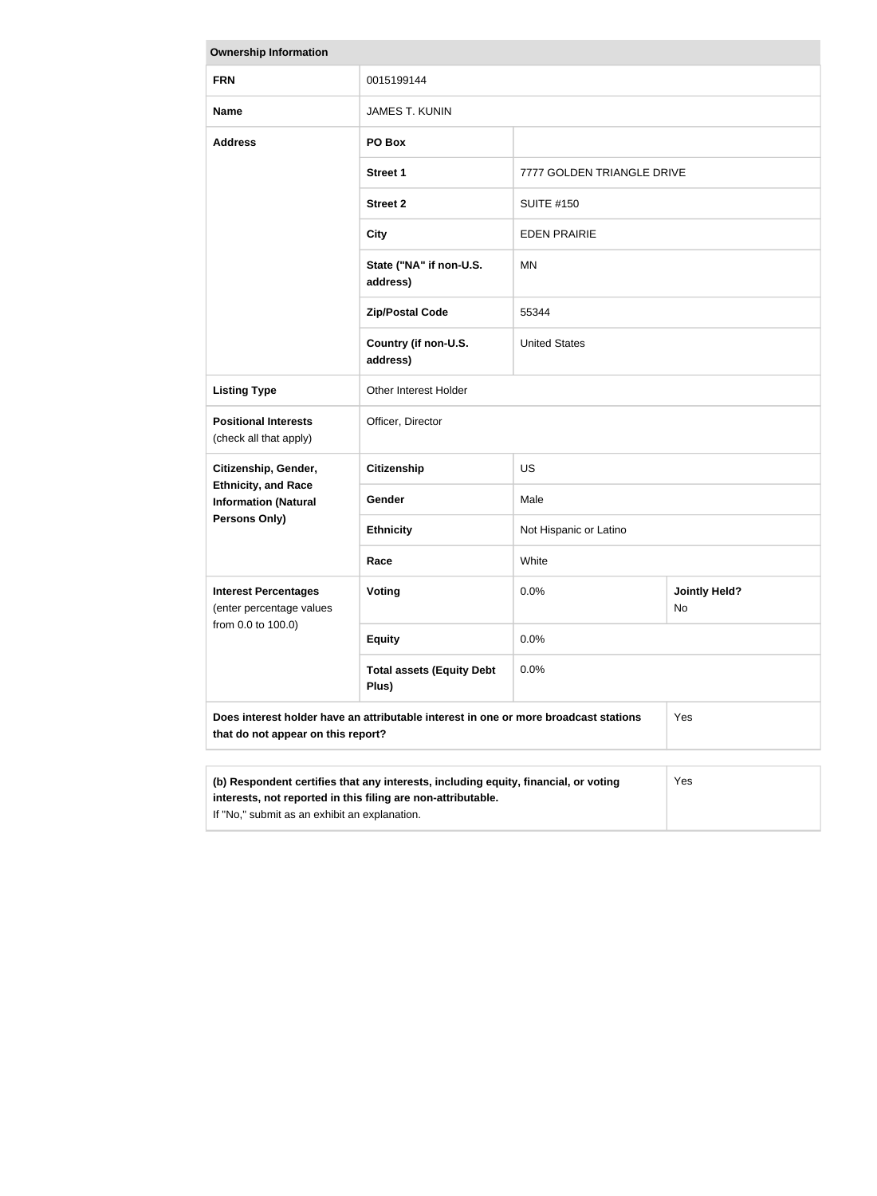| <b>Ownership Information</b>                                                                                                                                                                                |                                           |                            |                            |
|-------------------------------------------------------------------------------------------------------------------------------------------------------------------------------------------------------------|-------------------------------------------|----------------------------|----------------------------|
| <b>FRN</b>                                                                                                                                                                                                  | 0015199144                                |                            |                            |
| <b>Name</b>                                                                                                                                                                                                 | <b>JAMES T. KUNIN</b>                     |                            |                            |
| <b>Address</b>                                                                                                                                                                                              | PO Box                                    |                            |                            |
|                                                                                                                                                                                                             | <b>Street 1</b>                           | 7777 GOLDEN TRIANGLE DRIVE |                            |
|                                                                                                                                                                                                             | <b>Street 2</b>                           | <b>SUITE #150</b>          |                            |
|                                                                                                                                                                                                             | <b>City</b>                               | <b>EDEN PRAIRIE</b>        |                            |
|                                                                                                                                                                                                             | State ("NA" if non-U.S.<br>address)       | ΜN                         |                            |
|                                                                                                                                                                                                             | <b>Zip/Postal Code</b>                    | 55344                      |                            |
|                                                                                                                                                                                                             | Country (if non-U.S.<br>address)          | <b>United States</b>       |                            |
| <b>Listing Type</b>                                                                                                                                                                                         | Other Interest Holder                     |                            |                            |
| <b>Positional Interests</b><br>(check all that apply)                                                                                                                                                       | Officer, Director                         |                            |                            |
| Citizenship, Gender,                                                                                                                                                                                        | <b>Citizenship</b>                        | <b>US</b>                  |                            |
| <b>Ethnicity, and Race</b><br><b>Information (Natural</b>                                                                                                                                                   | Gender                                    | Male                       |                            |
| <b>Persons Only)</b>                                                                                                                                                                                        | <b>Ethnicity</b>                          | Not Hispanic or Latino     |                            |
|                                                                                                                                                                                                             | Race                                      | White                      |                            |
| <b>Interest Percentages</b><br>(enter percentage values                                                                                                                                                     | Voting                                    | 0.0%                       | <b>Jointly Held?</b><br>No |
| from 0.0 to 100.0)                                                                                                                                                                                          | <b>Equity</b>                             | 0.0%                       |                            |
|                                                                                                                                                                                                             | <b>Total assets (Equity Debt</b><br>Plus) | 0.0%                       |                            |
| Does interest holder have an attributable interest in one or more broadcast stations<br>Yes<br>that do not appear on this report?                                                                           |                                           |                            |                            |
|                                                                                                                                                                                                             |                                           |                            |                            |
| (b) Respondent certifies that any interests, including equity, financial, or voting<br>Yes<br>interests, not reported in this filing are non-attributable.<br>If "No," submit as an exhibit an explanation. |                                           |                            |                            |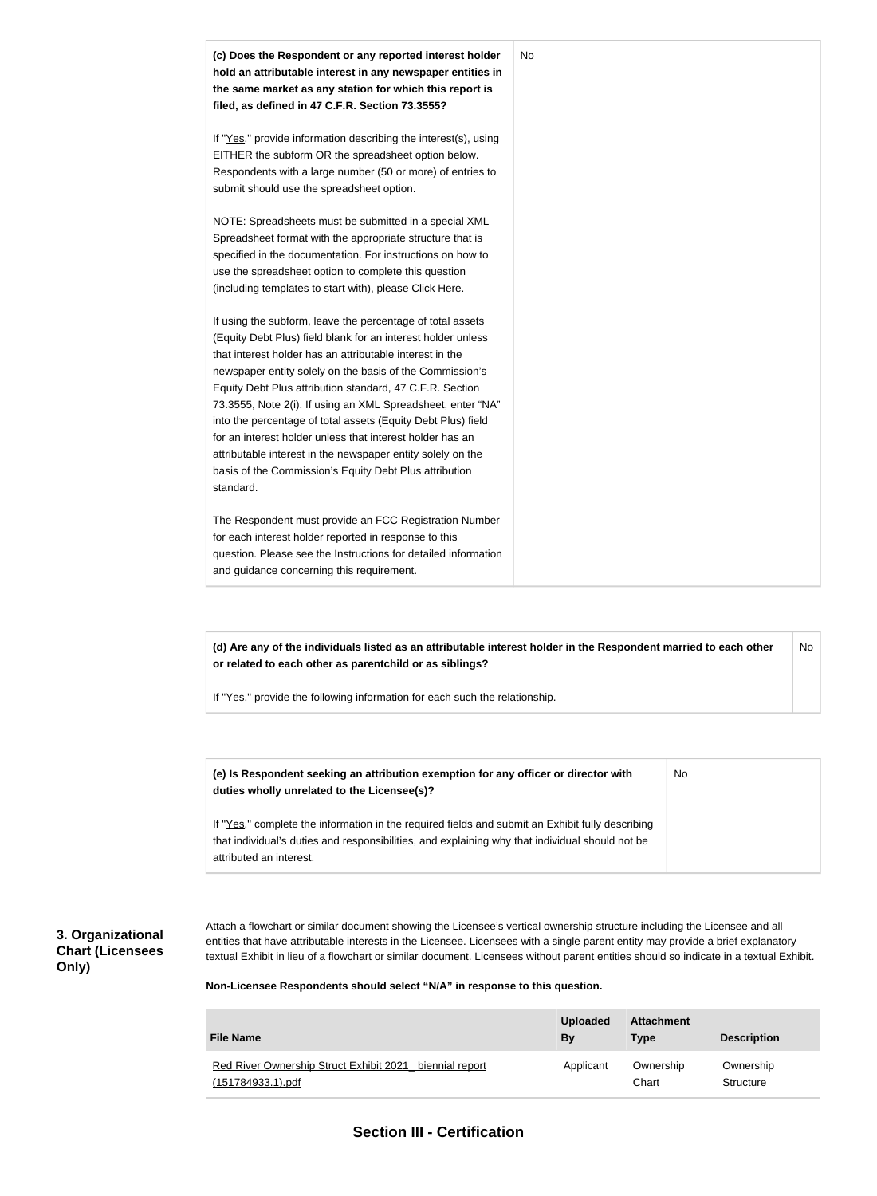

**(d) Are any of the individuals listed as an attributable interest holder in the Respondent married to each other or related to each other as parentchild or as siblings?** No

If "Yes," provide the following information for each such the relationship.

| (e) Is Respondent seeking an attribution exemption for any officer or director with<br>duties wholly unrelated to the Licensee(s)?                                                                                             | No |
|--------------------------------------------------------------------------------------------------------------------------------------------------------------------------------------------------------------------------------|----|
| If "Yes," complete the information in the required fields and submit an Exhibit fully describing<br>that individual's duties and responsibilities, and explaining why that individual should not be<br>attributed an interest. |    |

#### **3. Organizational Chart (Licensees Only)**

Attach a flowchart or similar document showing the Licensee's vertical ownership structure including the Licensee and all entities that have attributable interests in the Licensee. Licensees with a single parent entity may provide a brief explanatory textual Exhibit in lieu of a flowchart or similar document. Licensees without parent entities should so indicate in a textual Exhibit.

**Non-Licensee Respondents should select "N/A" in response to this question.**

| <b>File Name</b>                                                                       | <b>Uploaded</b><br>By | <b>Attachment</b><br><b>Type</b> | <b>Description</b>     |
|----------------------------------------------------------------------------------------|-----------------------|----------------------------------|------------------------|
| Red River Ownership Struct Exhibit 2021<br>biennial report<br><u>(151784933.1).pdf</u> | Applicant             | Ownership<br>Chart               | Ownership<br>Structure |